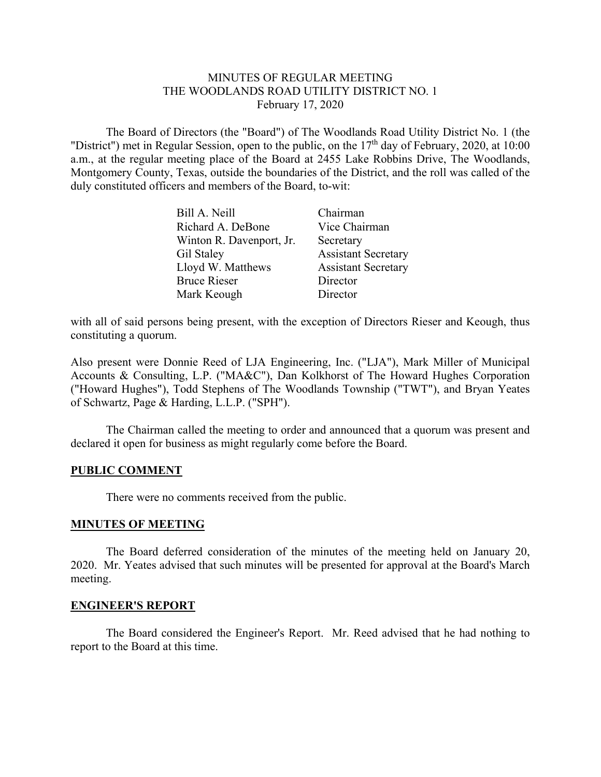# MINUTES OF REGULAR MEETING THE WOODLANDS ROAD UTILITY DISTRICT NO. 1 February 17, 2020

 The Board of Directors (the "Board") of The Woodlands Road Utility District No. 1 (the "District") met in Regular Session, open to the public, on the 17<sup>th</sup> day of February, 2020, at 10:00 a.m., at the regular meeting place of the Board at 2455 Lake Robbins Drive, The Woodlands, Montgomery County, Texas, outside the boundaries of the District, and the roll was called of the duly constituted officers and members of the Board, to-wit:

| Bill A. Neill            | Chairman                   |
|--------------------------|----------------------------|
| Richard A. DeBone        | Vice Chairman              |
| Winton R. Davenport, Jr. | Secretary                  |
| Gil Staley               | <b>Assistant Secretary</b> |
| Lloyd W. Matthews        | <b>Assistant Secretary</b> |
| <b>Bruce Rieser</b>      | Director                   |
| Mark Keough              | Director                   |

with all of said persons being present, with the exception of Directors Rieser and Keough, thus constituting a quorum.

Also present were Donnie Reed of LJA Engineering, Inc. ("LJA"), Mark Miller of Municipal Accounts & Consulting, L.P. ("MA&C"), Dan Kolkhorst of The Howard Hughes Corporation ("Howard Hughes"), Todd Stephens of The Woodlands Township ("TWT"), and Bryan Yeates of Schwartz, Page & Harding, L.L.P. ("SPH").

The Chairman called the meeting to order and announced that a quorum was present and declared it open for business as might regularly come before the Board.

# **PUBLIC COMMENT**

There were no comments received from the public.

# **MINUTES OF MEETING**

The Board deferred consideration of the minutes of the meeting held on January 20, 2020. Mr. Yeates advised that such minutes will be presented for approval at the Board's March meeting.

# **ENGINEER'S REPORT**

 The Board considered the Engineer's Report. Mr. Reed advised that he had nothing to report to the Board at this time.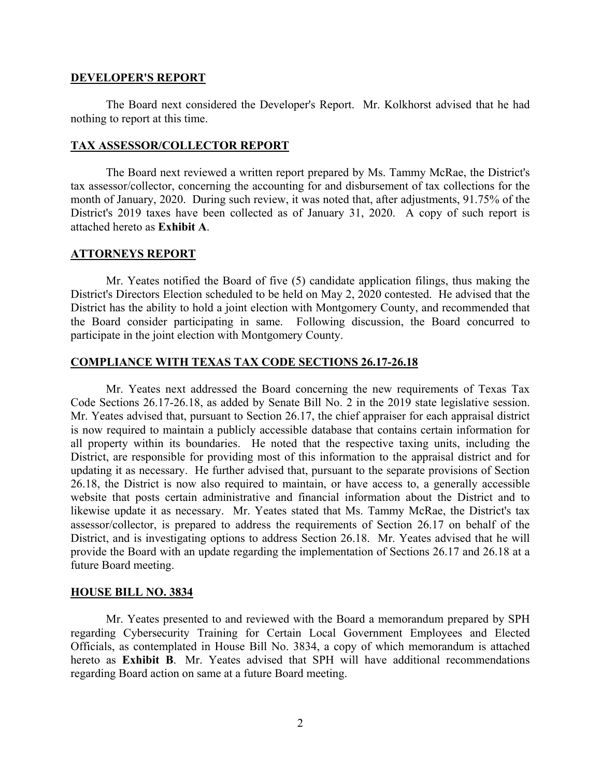#### **DEVELOPER'S REPORT**

The Board next considered the Developer's Report. Mr. Kolkhorst advised that he had nothing to report at this time.

#### **TAX ASSESSOR/COLLECTOR REPORT**

 The Board next reviewed a written report prepared by Ms. Tammy McRae, the District's tax assessor/collector, concerning the accounting for and disbursement of tax collections for the month of January, 2020. During such review, it was noted that, after adjustments, 91.75% of the District's 2019 taxes have been collected as of January 31, 2020. A copy of such report is attached hereto as **Exhibit A**.

# **ATTORNEYS REPORT**

 Mr. Yeates notified the Board of five (5) candidate application filings, thus making the District's Directors Election scheduled to be held on May 2, 2020 contested. He advised that the District has the ability to hold a joint election with Montgomery County, and recommended that the Board consider participating in same. Following discussion, the Board concurred to participate in the joint election with Montgomery County.

# **COMPLIANCE WITH TEXAS TAX CODE SECTIONS 26.17-26.18**

Mr. Yeates next addressed the Board concerning the new requirements of Texas Tax Code Sections 26.17-26.18, as added by Senate Bill No. 2 in the 2019 state legislative session. Mr. Yeates advised that, pursuant to Section 26.17, the chief appraiser for each appraisal district is now required to maintain a publicly accessible database that contains certain information for all property within its boundaries. He noted that the respective taxing units, including the District, are responsible for providing most of this information to the appraisal district and for updating it as necessary. He further advised that, pursuant to the separate provisions of Section 26.18, the District is now also required to maintain, or have access to, a generally accessible website that posts certain administrative and financial information about the District and to likewise update it as necessary. Mr. Yeates stated that Ms. Tammy McRae, the District's tax assessor/collector, is prepared to address the requirements of Section 26.17 on behalf of the District, and is investigating options to address Section 26.18. Mr. Yeates advised that he will provide the Board with an update regarding the implementation of Sections 26.17 and 26.18 at a future Board meeting.

# **HOUSE BILL NO. 3834**

Mr. Yeates presented to and reviewed with the Board a memorandum prepared by SPH regarding Cybersecurity Training for Certain Local Government Employees and Elected Officials, as contemplated in House Bill No. 3834, a copy of which memorandum is attached hereto as **Exhibit B**. Mr. Yeates advised that SPH will have additional recommendations regarding Board action on same at a future Board meeting.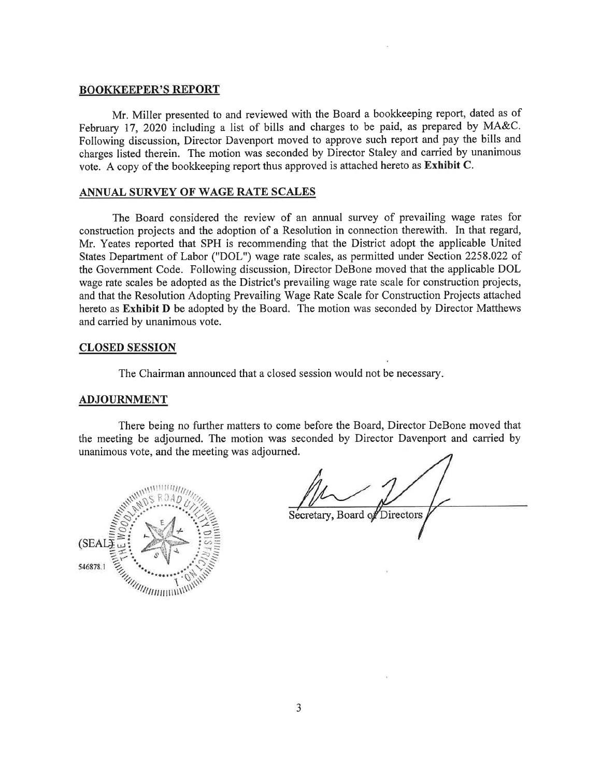#### **BOOKKEEPER'S REPORT**

Mr. Miller presented to and reviewed with the Board a bookkeeping report, dated as of February 17, 2020 including a list of bills and charges to be paid, as prepared by MA&C. Following discussion, Director Davenport moved to approve such report and pay the bills and charges listed therein. The motion was seconded by Director Staley and carried by unanimous vote. A copy of the bookkeeping report thus approved is attached hereto as Exhibit C.

#### ANNUAL SURVEY OF WAGE RATE SCALES

The Board considered the review of an annual survey of prevailing wage rates for construction projects and the adoption of a Resolution in connection therewith. In that regard, Mr. Yeates reported that SPH is recommending that the District adopt the applicable United States Department of Labor ("DOL") wage rate scales, as permitted under Section 2258.022 of the Government Code. Following discussion, Director DeBone moved that the applicable DOL wage rate scales be adopted as the District's prevailing wage rate scale for construction projects, and that the Resolution Adopting Prevailing Wage Rate Scale for Construction Projects attached hereto as Exhibit D be adopted by the Board. The motion was seconded by Director Matthews and carried by unanimous vote.

#### **CLOSED SESSION**

The Chairman announced that a closed session would not be necessary.

#### **ADJOURNMENT**

There being no further matters to come before the Board, Director DeBone moved that the meeting be adjourned. The motion was seconded by Director Davenport and carried by unanimous vote, and the meeting was adjourned.



Secretary, Board of Directors